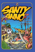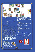

# **Santy Anno**

**3 to 8 players / 10 years and above / 30 min Translation : Benoît Löscher This is an exciting pirate game created by Alain Orban and produced by the "Belgians with Sombreros" of Repos Production.**

#### **HISTORICAL BACKGROUND**

**You are one of the notorious pirates of the SANTY ANNO, the terrifying three-master that makes the Caribbean seas insecure. After a long night drinking rum and partying, you have forgotten where your ship is and, even worse, who is your captain!**

**To resolve this, actually very common problem in a pirate's life, the pirate's guild has initiated a new**  tradition: the first 3 on board will respectively **become captain and first mates. The ones arriving too late will be demoted to ship's boys and spend the rest of the trip cleaning the deck!**

**Will you be fast and smart enough to avoid being spending the rest of your time with brush and bucket instead of sword and gun?**

#### 1 - AIM OF THE GAME

**Avoid to be demoted and get a maximum of ducats. At the end of the game (5 rounds) the player with the most money is nominated captain and**  wins. The next 2 are his first mates. The



**others lose and have to pay for the next round… and to clean the table and glasses! At 3 or 4 players, there will be only one winner: the captain.**

## 2 - MATERIAL

- **58 cards (37 Basic and 15 Expert boarding cards, 6 Event cards)**
- **Coins representing ducats (values from 1 to 5)**
- **These rules**
- **8 ships**
- **8 pirate tiles, 8 scuttles and 8 pirate frames**
- **1 "harbour" board**

## 3 - SET UP

**- Put 8 chairs around a table and take a seat.**

**- Put the 8 ships randomly in front of the chairs (the numbers should not be in sequence). The 8 ships must be placed on the table even if you are less than 8 players!**

**- Put the harbour on the centre of the table.**





**- Each player takes a pirate, his scuttle and the corresponding rectangular tile. He puts the tile** 

11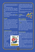**on the left hand side of the ship. The 8 frames, the remaining tiles and scuttles should be put back into the box.**

**- Sort the ducats by their values.** 

**- Put the 15 boarding cards with a star (expert level), the 6 event cards (with a telescope on their back) in the box, they are not use in the base game.**

The other cards are shuffled and piled up face **down beside the harbour.** 

**The most experienced player is called the Bosun. He will reveal the cards and double check the moves of the pirates.**

## THE GAME

**You play in 5 rounds. At the beginning of each round, a series of boarding cards are revealed. All the pirates play at the same time and must try to sit down as fast as possible in front of their target ship that is established by the boarding cards.** 

The first 5 players that get to their ship (not necessarily the Santy Anno) get ducats: the first **one 5, the second 4 and so on. So you not only have to sit in front of the right ship, but you also need to be amongst the firsts!** 

#### 1 - DESCRIPTION OF THE SHIPS

**The ships are all different but do have common elements. It is important to take a closer look to them since all boarding cards are based on these elements and their characteristics.**

**Each ship has 4 elements that allow**  her to be identified **amongst the others: • the crow's-nest**

- **the sails**
- **the hull**

**• the name plate Each element has a given colour (yellow, red, blue or green).** 



**Each ship has 4 different colours, none of** 

**her elements having the same colour. It is also important to notice that only 2 elements do have the same colour amongst the 8 ships. For example, only 2 ships do have red sails, only 2 a red crow'snest, etc.**

**The ships also have a name and a number from 1 to 8.**

**Finally, in one of the 4 corners, you can see Coco, our beloved parrot.**

## 2 - A ROUND

**A round is divided in 4 phases.**



## PHASE 1: " CAST OFF

REVEAL THE BOARDING CARDS

**All the players have to stand behind their chair and take their scuttle in their hand.** 

**The Bosun reveals the boarding cards face up in**  line beside the harbour. In the first round, 5 cards **are revealed. The cards will be read in the order indicated by the arrow on the harbour. To avoid other players to start thinking, the cards will be placed in the reverse order of reading, from the**  last to the first. When the latter is revealed he **shouts "Cast off!!" to start phase 2.**

#### PHASE 2 : FIND YOUR SHIP

**Each player looks at the boarding cards and mentally moves his pirate from ship to ship to the**  final destination that is defined by the complete

**series of moves described by the cards. You have to apply these cards one after the other**  following the order defined by the arrow on the **harbour.**

Note that the move defined by a card applies **to the ship on which the pirate currently is (not necessarily the starting ship). Ships do never move, and it is forbidden to move one's pirate during this phase!**

As soon as a player thinks to know his final **destination (target ship), he runs around the table to sit in front of the ship and as soon as he**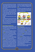**sits, he puts his scuttle face down on the harbour. If there is already a scuttle, he puts his on top of it to create a stack. If a player put his scuttle before sitting, he has to take it back, sit down and put it back on the stack.**

**Two or more persons can sit on the same chair; the second one has to sit on the previous one's lap and so forth. Er… Make sure that the chairs are robust enough before starting the game… if you have some doubts, better remain standing behind the person seated and put your hands on his shoulders.**

**The players can choose the way they run around the table.**

**If all the players but one have arrived, they count down from 5 to 0. Phase 2 ends at 0. If the last player is not sitting by then, he has to place his scuttle on the left hand side of the harbour. He won't get any money in this round and has to sit onto a chair that remains free.**

#### PHASE 3 : RESOLVE THE BOARDING CARDS

**Now that everybody is sitting, you have to check if the pirates are on the correct ship. This has to be done very carefully to avoid mistakes. Let the Bosun lead the manoeuvre.**

We advise you for your first games to resolve the **boarding in sequence one pirate after the other. Let the Bosun move the tiles to avoid any mistakes.**

**This will also let you understand the procedure. To indicate that a pirate has completed all of his moves, put the tile on the target ship.**

**Once you know the game better and all the players understand the moves, you can apply the move defi ned by a card to all the pirates at once.**

The **Bosun** takes the first card and applies the **corresponding moves. To avoid any mistake, the order of the colours and letters in which the moves are done are shown on the harbour board. Once a pirate has moved, he is placed on the ship. If a pirate has not to be moved, put him on his current ship. Once the move defi ned by the cards has been applied to all the pirates, put them all on the left** 

**hand side of their ship and discard the card. Take the next one in sequence and apply the related moves. Do all the moves as requested by the Bosun.**

**Pay attention while applying this method since pirates can cross each other. After each move put the pirate on the ship, so you can easily identify which ones have been moved.**



## PHASE 4 : SPLIT THE LOOT

**The Bosun takes the pile of scuttles and turns it**  upside down to see the first one who arrived. If **this one is on the right place, i.e. if he sits in front of the right target ship, the Bosun puts the scuttle on the right hand side of the harbour. If the player is not on the right place, the scuttle is put on the left hand side. The Bosun checks the other scuttles the same way. The pirates that are on the left place are put in arrival order.**

**Then the Bosun distributes the money to the people who are correctly seated: a 5 ducats coin on the fi rst scuttle, a 4 ducats coin to the second and**  so on till the 5<sup>th</sup> one who receives a 1 ducat coin. If **there are less than 5 people correctly seated, the remaining coins are put back into the box Finally, each player takes his scuttle back as well as** 

**the coin that might be on it.**

**Each player has to hide his loot in a safe and secret place… such as your pocket for example.**

13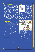## 3 - END OF THE ROUND AND NEXT ONES

**Each player stands up behind the chair where his pirate currently is – if it is not the case yet – and all used boarding cards are discarded. A new round begins.**

**The Bosun reveal one more cards per round: 6 cards in the second round, 7 in the third, 8 in the**  fourth and finally 9 in the fifth one.

**Special rule for the last two rounds (8 and 9 cards).**

**The players have to run once around the table before sitting down. Therefore, the scuttle is left beside the starting ship. It will be taken once the player has completed his round. Note that the player can then change direction to go to his target seat.**

## 4 - END OF THE GAME

**The game ends after splitting the loot in the 5th round. The player having the most ducats becomes the captain and is the winner. The second and third become his first mates. The others loose and have to pay for the next round… and to clean the table and glasses!**

**Don't forget to return the coins you might have left in your pockets!**

**In case of a tie, the one with the most 5 ducats coins wins. If there is still a tie, it is the one with the most 4 ducats coins and so forth. And in the very seldom case that people have the exact same coins, we advise you to do an arm-wrestling match.**

## BOARDING CARDS

**There are 4 types of boarding cards in the base game: element, colour, name and number. They**  define the pirates' moves. Reminder: the ships do **not move, and the boarding card is only applicable to the ship the pirate is currently located (not necessarily the starting ship).**

## 1 - THE ELEMENT CARDS



**The element cards (crow's-nest, sails, hull and name plate) tell you that the pirate has to move to the other ship where the shown element is of the same** 

**colour as of the one of his current ship: the target ship is the one having the shown element of the same colour.**

**E.g.: " The Brain " who is on a ship with a red hull (" Sahara"). He moves to the other ship with a red hull, the " Viper". If there is a pirate on the target ship " Viper ", they swap their place.** 



**There are 2 types of element card: The white ones and the one with a colour struck out.**

**The white cards tell you that the boarding is applicable to all 4 colours.**

**The cards with a colour struck out tell you that the boarding applies to all the colours but the one shown on the card.**

**E.g. : all the pirates but the ones on a ship with yellow hull move to the ship with hull of the same colour as their ship.**

**To simplify the boarding resolution during phase 3, please process in the colour order as indicated on the harbour.**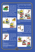## - THE COLOUR CARDS



**The colour cards do not show any element. You have to look which of the elements of your current ship has the same colour as the card. The pirate moves to the ship having** 

**this element of the same colour of the card. E.g.: The yellow card is to be applied. " El Belgo" is on the " Paradise ", a ship having yellow sails. He now has to move to the other ship having yellow sails, the " Royal".** 



**To ease the resolution at phase 3, perform the moves from top to bottom: crow's-nest, sails, hull and name plate.**

#### 3 - THE NAME CARDS



**The name cards tell you to move to the ship that has a name starting with the same letter as the current one.**

**There are 2 types of name cards: the ones** 

**with a letter struck out, and the ones with 4 letters.**

**The cards with 4 letters tells you that the move is applicable to all letters**

**The cards with a letter struck out tells you that the move is applied to all letters but the one shown on the card.**

**E.g.: The card with a P struck out is to be applied. " Beauty " is on the " Profundis ". She does not move.** 

**" Edward "who is on the " Royal" moves to the " Revenge "**



**To ease the resolution during phase 3, please follow the order of the letters as shown on the harbour (P, R, S and V).**

#### 4 - THE NUMBER CARDS



**To resolve this card, you must add the number of the current ship to one of the ones shown on the card. The result is your target ship. Take the number (positive** 

**or negative) of the card that gives you a result between 1 and 8.**

**E.g.: For the card +3/-5, the pirates on ship 1, 2, 3, 4 and 5 will add 3, the ones on ship 6, 7, 8 subtract 5.**

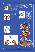## EXPERT BOARDING



**Once you are familiarised with the base game, we invite you to play with the expert cards: remove randomly 10 of the base boarding cards and add the expert cards to** 

**the remaining boarding cards.**

#### 1 - THE HELM CARDS



**The helm cards tell you that the pirates have to move from ship to ship in the direction shown on the card.The cards are numbered from 1 to 4 in both directions. When** 

**resolving this card in phase 3, the Bosun asks that each player takes the pirate that is in front of him and ask that everybody moves it together at his pace.**

### **E.g. : the crow's-nest/hull card is to be applied. You are on the "Paradise"; this ship has a red crow's-nest and a blue hull. Your target ship will be the one with a blue crow's-nest and a red hull, the " Viper".**

#### 3 - THE COCO CARDS



**The Coco cards tell you that the pirate has to move to the ship having Coco in the same corner as your current ship. Again to ease the card resolution in phase** 

**3, make the moves in the order shown on the harbour.**

#### 2 - THE DOUBLE CARDS



**The double cards show 2 ship elements. To find the target ship, you'll have to look at the colour of these 2 elements on your current ship and**  swap them to find the

#### **corresponding ship.**



16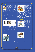## EVENT CARDS



**The event cards have a special back with a telescope. There are 6 cards representing 4 different events.** 

**The event cards should be introduced once you are familiar with the base** 

**and expert games. They make the pirate's life even spicier.**

The event cards are shuffled and piled up face **down next to the boarding cards.**

**When the Bosun reveals the boarding cards, he**  leaves the first boarding card face down and **inserts the event card - also face down - between the 3rd and 4th boarding.**



**The Bosun then returns simultaneously both cards**  (the first boarding and the event cards) shouting **"cast off!".**

**The rest of the round remains the same with the exception of the event occurring between the 3rd and 4th move.**

#### 1 - WHIRLWIND



**A whirlwind increases the confusion in your quest for the right ship. The boarding card before and the one after the whirlwind are swapped. The pirates** 

**must therefore apply the 4th boarding card before the 3rd one.**

#### 2 - SEASICK



**Well, there must have been something odd with the food or the rum tonight, you become seasick.** 

**All the boarding cards after this event are** 

**impacted. After each boarding card that follows this event, the pirate has to move to the next ship in the direction indicated by the card. In fact, it is as if they applied the helm of value 1 after each boarding, even if they did not move. Note: there is one card for each direction.**

## **3 - THE BERMUDA TRIANGLE**



**Even in the quietest harbour the Bermuda triangle has its effects. The boarding cards that follows this events must be read in reverse order. So the 1st, 2nd and 3rd**

**boarding cards are applied, than the last, last but one, and so forth until the 4th boarding.**

#### 4 - RUM OR THE ULTIMATE CHALLENGE



"A good pirate can find **his ship backwards" said Black Beard before falling into the sea and drowning.**

**During the second phase you have to walk** 

**backwards to get to your seat.** 

**As an ultimate challenge run once backwards around the table before getting to your seat (as you would do in the 4th and 5th rounds).**